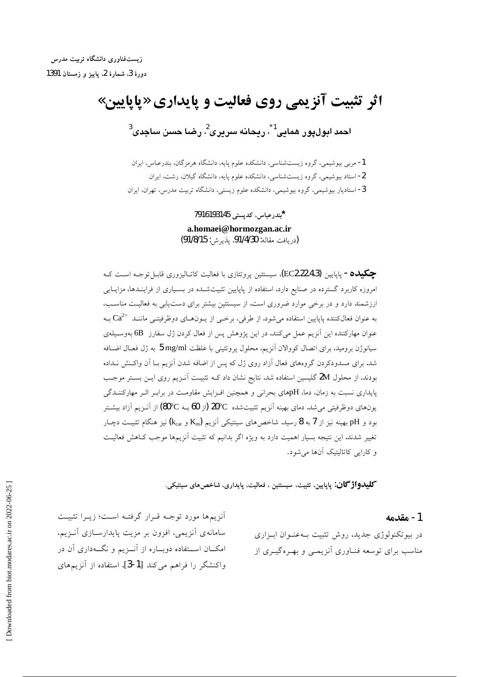زیستفناوری دانشگاه تربیت مدرس دورة 3، شمارة 2 ياييز و زمستان 1391

# اثر تثبیت آنزیمی روی فعالیت و پایداری «پاپایین» احمد ابول،يور همايي<sup>1</sup>\*، ريحانه سرپری<sup>2</sup>، رضنا حسن ساجدی<sup>3</sup>

1- مربی بیوشیمی، گروه زیستشناسی، دانشکده علوم پایه، دانشگاه هرمزگان، بندرعباس، ایران 2- استاد بیوشیمی، گروه زیستشناسی، دانشکده علوم پایه، دانشگاه گیلان، رشت، ایران 3- استادیار بیوشیمی، گروه بیوشیمی، دانشکده علوم زیستی، دانشگاه تربیت مدرس، تهران، ایران

> \*بندرعباس، كديستى 7916193145 a.homaei@hormozgan.ac.ir (دريافت مقاله: 91/4/30، يذيرش: 91/8/15)

**چکیده –** پاپایین (EC2.22.4.3)، سیستئین پروتئازی با فعالیت کاتـالیزوری قابـلتوجـه اســت کـه امروزه کاربرد گسترده در صنایع دارد. استفاده از پاپایین تثبیتشـده در بسـیاری از فراینـدها، مزایـایی ارزشمند دارد و در برخی موارد ضروری است. از سیستئین بیشتر برای دست پایی به فعالیت مناسب، به عنوان فعالکننده پاپایین استفاده میشود. از طرفی، برخـی از یــون۱صای دوظرفیتــی ماننــد  $\mathrm{Ca}^{2+}$  بــه عنوان مهاركننده اين آنزيم عمل ميكنند. در اين پژوهش پس از فعال كردن ژل سفارز 6B بهوسـيلهي سیانوژن برومید، برای اتصال کووالان آنزیم، محلول پروتئینی با غلظت 5 mg/ml به ژل فعـال اضـافه شد. برای مسدودکردن گروههای فعال آزاد روی ژل که پس از اضافه شدن آنزیم بـا آن واکـنش نـداده بودند، از محلول 2M گلیسین استفاده شد. نتایج نشان داد کـه تثبیـت آنـزیم روی ایـن بسـتر موجـب پایداری نسبت به زمان، دما، pHهای بحرانی و همچنین افـزایش مقاومـت در برابـر اثـر مهارکننـدگی یونهای دوظرفیتی می شد. دمای بهینه آنزیم تثبیتشده ℃20 (از 60 بــه ℃80) از آنــزیـم آزاد بیشــتر بود و pH بهینه نیز از 7به 8 رسید. شاخصهای سینتیکی اَنزیم (K $_{\rm car}$  و k $_{\rm cat}$ ) نیز هنگام تثبیـت دچـار تغییر شدند. این نتیجه بسیار اهمیت دارد به ویژه اگر بدانیم که تثبیت آنزیمها موجب کـاهش فعالیـت و کارایی کاتالیتیک آنها می شود.

**كليدواژگان**: پاپايين، تثبيت، سيستئين ، فعاليت، پايداري، شاخص هاي سينتيكي.

#### 1 - مقدمه

در بیوتکنولوژی جدید، روش تثبیت بـهعنـوان ابـزاری مناسب برای توسعه فنــاوری آنزیمــی و بهــرهگیــری از

أنزيمها مورد توجـه قـرار گرفتـه اسـت؛ زيـرا تثبيـت سامانهی آنزیمی، افزون بر مزیت پایدارسـازی آنـزیم، امکــان اســتفاده دوبــاره از آنــزیم و نگــهداری آن در واكنشگر را فراهم می كند [1-3]. استفاده از آنزیمهای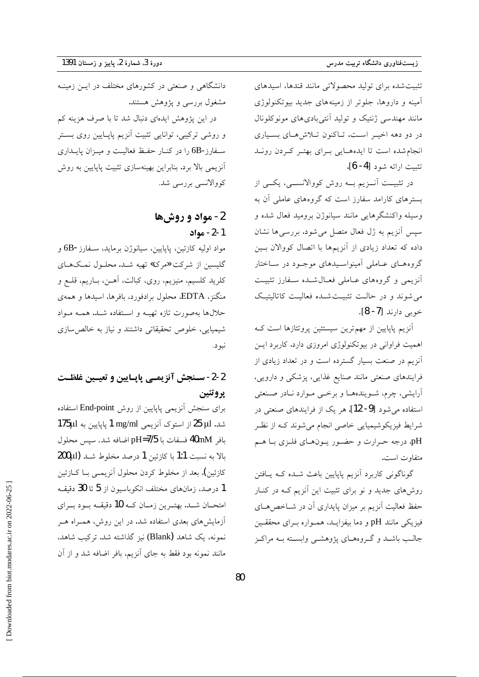تثبیت شده برای تولید محصولاتی مانند قندها، اسیدهای آمینه و داروها، جلوتر از زمینههای جدید بیوتکنولوژی مانند مهندسی ژنتیک و تولید آنتی بادیهای مونوکلونال در دو دهه اخیـر اسـت. تـاکنون تـلاش هـای بسـياری انجام شده است تا ایدههایی برای بهتر کردن روند تثبيت ارائه شود [4- 6].

در تثبیــت آنــزیم بــه روش کووالانســـی، یکـــی از بسترهای کارامد سفارز است که گروههای عاملی آن به وسیله واکنشگرهایی مانند سیانوژن برومید فعال شده و سپس آنزیم به ژل فعال متصل می شود. بررسی ها نشان داده که تعداد زیادی از آنزیمها با اتصال کووالان بین گروه هسای عباملی آمینواسیدهای موجبود در سباختار أنزيمي وكروههاي عباملي فعبال شيده سيفارز تثبيت می شوند و در حالـت تثبیـت شـده فعالیـت کاتالیتیـک خوبي دارند [7- 8].

أنزیم پاپایین از مهم ترین سیستئین پروتئازها است ک اهمیت فراوانی در بیوتکنولوژی امروزی دارد. کاربرد این آنزیم در صنعت بسیار گسترده است و در تعداد زیادی از فرایندهای صنعتی مانند صنایع غذایی، پزشکی و دارویی، آرايشي، چرم، شـويندههــا و برخـي مـوارد نــادر صـنعتي استفاده می شود [9- 12]. هر یک از فرایندهای صنعتی در شرایط فیزیکوشیمیایی خاصی انجام میشوند کـه از نظـر pH، درجه حرارت و حضور يـونهـاي فلـزي بـا هـم متفاوت است.

گوناگونی کاربرد آنزیم پاپایین باعث شـده کـه یــافتن روشهای جدید و نو برای تثبیت این اَنزیم کـه در کنـار حفظ فعالیت آنزیم بر میزان پایداری آن در شــاخصهــای فیزیکی مانند pH و دما بیفزایـد، همـواره بـرای محققـین جالب باشـد و گـروههـاي پژوهشـي وابسـته بـه مراكـز

دانشگاهی و صنعتی در کشورهای مختلف در ایــن زمینــه مشغول بررسی و پژوهش هستند.

در این پژوهش ایدهای دنبال شد تا با صرف هزینه کم و روشی ترکیبی، توانایی تثبیت آنزیم پاپـایین روی بسـتر سـفارز-6B را در کنـار حفـظ فعاليـت و ميـزان پايــداري آنزیمی بالا برد. بنابراین بهینهسازی تثبیت پاپایین به روش كووالانسى بررسى شد.

### 2- مواد و روشها 1-2- مواد

مواد اوليه كازئين، پاپايين، سيانوژن برمايد، سـفارز-6B و گلیسین از شرکت «مرک» تهیه شـد. محلـول نمـکهـای کلريد کلسيم، منيزيم، روي، کبالت، آهـن، بــاريـم، قلــع و منگنز، EDTA، محلول برادفورد، بافرها، اسیدها و همهی حلالها بهصورت تازه تهيـه و اسـتفاده شـد. همـه مـواد شیمیایی، خلوص تحقیقاتی داشتند و نیاز به خالص سازی نبود.

### 2-2- سـنجش آنزيمـي پايـايين و تعيـين غلظـت يرو تئين

برای سنجش آنزیمی پاپایین از روش End-point استفاده شد. 25 µl از استوک آنزیمی 1 mg/ml یاپایین به 175µl بافر 40mM فسفات با pH=7/5 اضافه شد. سپس محلول بالا به نسبت 1:1 با كازئين 1 درصد مخلوط شـد (200µl كازئين). بعد از مخلوط كردن محلول آنزيمـي بــا كــازئين 1 درصد، زمانهای مختلف انکوباسیون از 5 تا 30 دقیقـه امتحــان شــد. بهتــرين زمــان كــه 10 دقيقــه بــود بــراي آزمایشهای بعدی استفاده شد. در این روش، همـراه هـر نمونه، یک شاهد (Blank) نیز گذاشته شد. ترکیب شاهد، مانند نمونه بود فقط به جای آنزیم، بافر اضافه شد و از آن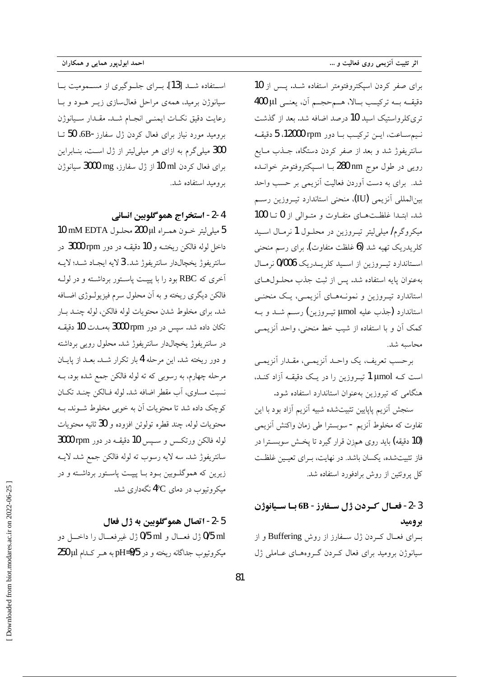برای صفر کردن اسپکتروفتومتر استفاده شـد. پـس از 10 دقيقـه بـه تركيـب بـالا، هـمحجـم آن، يعنـى 400 µ1 تری کلرواستیک اسید 10 درصد اضافه شد. بعد از گذشت نيم ساعت، اين تركيب با دور rpm 12000، 5 دقيقه سانتریفوژ شد و بعد از صفر کردن دستگاه، جــذب مــایع رویی در طول موج nm 280 بــا اسـپکتروفتومتر خوانــده شد. برای به دست آوردن فعالیت آنزیمی بر حسب واحد بين|لمللي أنزيمي (IU)، منحني استاندارد تيـروزين رسـم شد. ابتـدا غلظـتهـای متفـاوت و متـوالی از 0 تــا 100 میکروگرم/ میلی لیتر تیـروزین در محلـول 1 نرمـال اسـید کلریدریک تھیه شد **(6** غلظت متفاوت**)**. برای رسم منحن<sub>ی</sub> استاندارد تيووزين از اسيد كلريــدريك 0/006 نرمـال بهعنوان پایه استفاده شد. پس از ثبت جذب محلـولهــای استاندارد تیـروزین و نمونـههـای آنزیمـی، یـک منحنـی استاندارد (جذب عليه µmol تيــروزين) رســم شــد و بــه کمک اَن و با استفاده از شیب خط منحنی، واحد اَنزیمـی محاسبه شد.

برحسب تعريف، يك واحـد أنزيمـي، مقـدار أنزيمـي است کــه µmol تيــروزين را در يــک دقيقــه آزاد کنــد، هنگامی که تیروزین بهعنوان استاندارد استفاده شود.

سنجش آنزيم پاپايين تثبيتشده شبيه آنزيم آزاد بود با اين تفاوت که مخلوط آنزیم - سوبسترا طی زمان واکنش آنزیمی (10 دقیقه) باید روی همزن قرار گیرد تا پخش سوبسترا در فاز تثبیتشده، یکسان باشد. در نهایت، بـرای تعیـین غلظـت کل پروتئین از روش برادفورد استفاده شد.

### 2-3- فعـال كـردن ژل سـفارز - 6B بـا سـيانوژن بروميد

برای فعـال کـردن ژل سـفارز از روش Buffering و از سیانوژن برومید برای فعال کردن گروههای عـاملی ژل

استفاده شـد [13]. بـراى جلـوگيرى از مسـموميت بـا سیانوژن برمید، همهی مراحل فعالسازی زیــر هــود و بــا رعايت دقيق نكبات ايمنيي انجمام شيد. مقيدار سيانوژن برومید مورد نیاز برای فعال کردن ژل سفارز-6B، 50 تــا 300 میلی گرم به ازای هر میلی لیتر از ژل است. بنـابراین برای فعال کردن 10 ml از ژل سفارز، 3000 mg سیانوژن بروميد استفاده شد.

4-2- استخراج هموگلوبين انساني

5 ميلي ليتر خـون همـراه للا 200 محلـول 10 mM EDTA داخل لوله فالكن ريختــه و 10 دقيقــه در دور 3000 rpm در سانتريفوژ يخچالدار سانتريفوژ شد. 3 لايه ايجـاد شـد؛ لايــه آخری که RBC بود را با پیپـت پاســتور برداشــته و در لولــه فالکن دیگری ریخته و به آن محلول سرم فیزیولـوژی اضـافه شد. براي مخلوط شدن محتويات لوله فالكن، لوله چنـد بـار تکان داده شد. سپس در دور 3000 rpm به مدت 10 دقیقه در سانتریفوژ یخچالدار سانتریفوژ شد. محلول رویبی برداشته و دور ریخته شد. این مرحله 4 بار تکرار شـد. بعـد از پایــان مرحله چهارم، به رسوبي كه ته لوله فالكن جمع شده بود، بــه نسبت مساوي، اَبِ مقطرِ اضافه شد. لوله فــالكن چنــد تكــان كوچك داده شد تا محتويات آن به خوبي مخلوط شـوند. بــه محتويات لوله، چند قطره تولوئن افزوده و 30 ثانيه محتويات لوله فالكن ورتكس وسبس 10 دقيقه در دور 3000 rpm سانتريفوژ شد. سه لايه رسوب ته لوله فالكن جمع شد. لايــه زیرین که هموگلــوبین بــود بــا پیپــت پاســتور برداشــته و در میکروتیوب در دمای 4°C نگهداری شد.

5-2- اتصال همو گلوبين به ژل فعال 0/5 ml ژل فعــال و 0/5 ml ژل غیرفعــال را داخـــل دو میکروتیوب جداگانه ریخته و در pH=9/5 به هـر کـدام 250 µl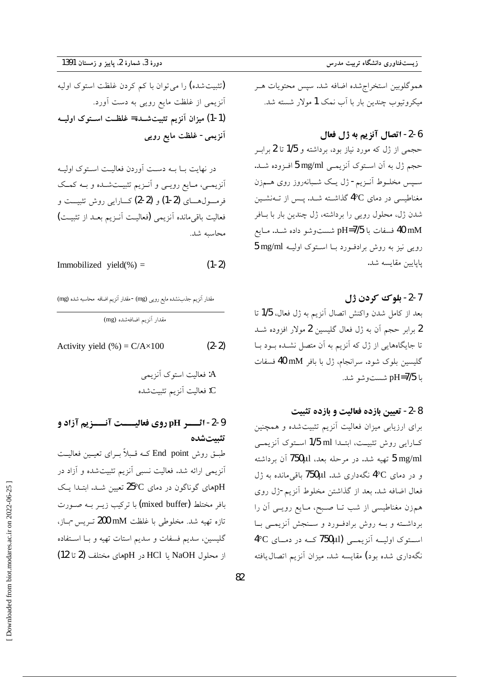دورة 3، شمارة 2، پاييز و زمستان 1391

(تثبیت شده) را می توان با کم کردن غلظت استوک اولیه آنزیمی از غلظت مایع رویی به دست آورد. (1-1) میزان آنزیم تثبیتشده= غلظت استوک اولیـه آنزیمی- غلظت مایع رویبی

در نهایت بــا بــه دســت آوردن فعالیــت اسـتوک اولیــه آنزیمـی، مـایع رویــی و آنــزیم تثبیــتشــده و بــه کمــک فرمسول هساي (2-1) و (2-2) كسارايي روش تثبيست و فعاليت باقي مانده آنزيمي (فعاليـت أنــزيم بعــد از تثبيــت) محاسىه شد.

$$
Immobilized yield(*) = (1-2)
$$

مقدار آنزیم جذب شده مایع رویی (mg) -مقدار آنزیم اضافه محاسبه شده (mg)

مقدار آنزیم اضافهشده (mg)

 $(2-2)$ Activity yield  $%$  = C/A $\times$ 100

### 2-9- اثــــر pH روي فعاليــــت آنــــزيم آزاد و تثبيتشده

طبــق روش End point کــه قــبلاً بــرای تعیــین فعالیــت اًنزیمی ارائه شد. فعالیت نسبی اَنزیم تثبیتشده و اَزاد در pHهای گوناگون در دمای 25°C تعیین شـد. ابتـدا یـک بافر مختلط (mixed buffer) با ترکیب زیــر بــه صــورت تازه تهيه شد. مخلوطي با غلظت mM 200 تـريس-بــاز، گلیسین، سدیم فسفات و سدیم استات تهیه و بــا اســتفاده از محلول NaOH یا HCl در pHمای مختلف (2 تا 12) هموگلوبین استخراج شده اضافه شد. سپس محتویات هـر میکروتیوب چندین بار با آب نمک 1 مولار شسته شد.

#### 6-2- اتصال آنزيم به ژل فعال

حجمی از ژل که مورد نیاز بود، برداشته و 1/5 تا 2 برابـر حجم ژل به آن استوک آنزیمـی 5 mg/ml افـزوده شـد. سـپس مخلــوط اَنــزیم- ژل یــک شــبانهروز روی هــمزن مغناطیسی در دمای <sup>4</sup>°C گذاشـته شـد. پـس از تــهنشــین شدن ژل، محلول رویی را برداشته، ژل چندین بار با بـافر 40 mM فسفات با pH=7/5 شستوشو داده شـد. مـايع رویی نیز به روش برادفورد بـا اسـتوک اولیـه 5 mg/ml يايايين مقايسه شد.

#### 7-2- بلوك كردن ژل

بعد از كامل شدن واكنش اتصال آنزيم به ژل فعال، 1/5 تا 2 برابر حجم آن به ژل فعال گلیسین 2 مولار افزوده شــد تا جایگاههایی از ژل که آنزیم به آن متصل نشـده بـود بـا گلیسین بلوک شود. سرانجام، ژل با بافر 40 mM فسفات با pH=7/5 شستوشو شد.

#### 8-2- تعيين بازده فعاليت و بازده تثبيت

برای ارزیابی میزان فعالیت آنزیم تثبیت شده و همچنین كـارايي روش تثبيــت، ابتــدا 1/5 ml اســتوک آنزيمــي 5 mg/ml تهيه شد. در مرحله بعد، 750µl آن برداشته و در دمای <sup>4</sup>°C نگهداری شد. 750µl باقی مانده به ژل فعال اضافه شد. بعد از گذاشتن مخلوط آنزیم-ژل روی همزن مغناطیسی از شب تــا صـبح، مــایع رویــی آن را برداشته و بـه روش برادفـورد و سـنجش أنزيمـي بـا 4°C استوی اولیــه آنزیمــی (750µl کــه در دمــای نگهداری شده بود) مقایسه شد. میزان آنزیم اتصال یافته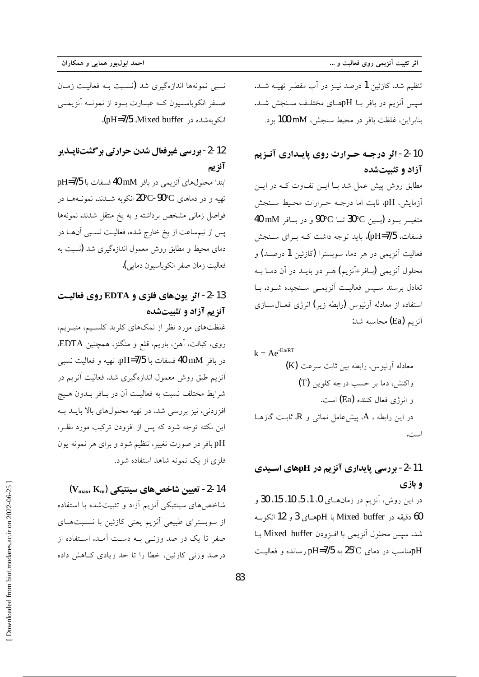نسبی نمونهها اندازهگیری شد (نسـبت بــه فعالیــت زمــان صفر انکوباسیون کـه عبـارت بـود از نمونـه آنزیمــی انکو به شده در Mixed buffer .(pH=7/5).

### 12-2- بررسی غیرفعال شدن حرارتی برگشتناپـذیر آنزيم

ابتدا محلولهای آنزیمی در بافر 40 mM فسفات با pH=7/5 تهیه و در دماهای C-90°C-90°C انکوبه شــدند. نمونــههــا در فواصل زمانی مشخص برداشته و به یخ منتقل شدند. نمونهها یس از نیمساعت از یخ خارج شده، فعالیـت نسـبی آنهــا در دمای محیط و مطابق روش معمول اندازهگیری شد (نسبت به فعاليت زمان صفر انكوباسيون دمايي).

### 13-2- اثر یونهای فلزی و EDTA روی فعالیت آنزیم آزاد و تثبیتشده

غلظتهای مورد نظر از نمکهای کلرید کلسـیم، منیـزیم، روي، كبالت، أهن، باريم، قلع و منگنز، همچنين EDTA، در بافر 40 mM فسفات با pH=7/5، تهيه و فعاليت نسبي آنزیم طبق روش معمول اندازهگیری شد. فعالیت آنزیم در شرايط مختلف نسبت به فعاليـت آن در بــافر بــدون هــيچ افزودنی، نیز بررسی شد. در تهیه محلولهای بالا بایــد بــه این نکته توجه شود که پس از افزودن ترکیب مورد نظـر، pH بافر در صورت تغییر، تنظیم شود و برای هر نمونه یون فلزی از یک نمونه شاهد استفاده شود.

 $(V_{\rm max}, K_{\rm m})$  -2- تعيين شاخص هاي سينتيكي (V $_{\rm max}$ شاخص های سینتیکی آنزیم آزاد و تثبیتشده با استفاده از سوبسترای طبیعی آنزیم یعنی کازئین با نسـبتهـای صفر تا یک در صد وزنــی بــه دســت آمــد. اســتفاده از درصد وزنی کازئین، خطا را تا حد زیادی کـاهش داده

تنظيم شد. كازئين 1 درصد نيــز در آب مقطـر تهيــه شــد. سیس آنزیم در بافر بـا pHهـای مختلـف سـنجش شـد. بنابراين، غلظت بافر در محيط سنجش، 100 mM بود.

### 10-2- اثر درجـه حـرارت روي پايـداري آنـزيم آزاد و تثبیتشده

مطابق روش پیش عمل شد بـا ایــن تفــاوت کــه در ایــن آزمایش، pH، ثابت اما درجـه حـرارات محـيط سـنجش متغيــر بــود (بــين €30°3 تــا ©90° و در بــافر 40 mM فسفات، pH=7/5). باید توجه داشت کـه بـرای سـنجش فعاليت آنزيمي در هر دما، سوبسترا (كازئين 1 درصـد) و محلول آنزیمی (سافر+آنزیم) هـر دو بایــد در آن دمــا بــه تعادل برسند سـيس فعاليـت آنزيمـي سـنجيده شـود. بـا استفاده از معادله آرنبوس (رابطه زیر) انرژی فعــال۱ســازی آنزیم (Ea) محاسبه شد:

## 11-2- بررسی پایداری آنزیم در pHهای اسـیدی و بازي

در این روش، آنزیم در زمانهای 0، 1، 5، 10، 15، 30 و 60 دقيقه در Mixed buffer با pHهـاى 3 و 12 انكوبـه شد. سيس محلول آنزيمي با افـزودن Mixed buffer بــا pHومناسب در دمای 25°C به pH=7/5 رسانده و فعالیت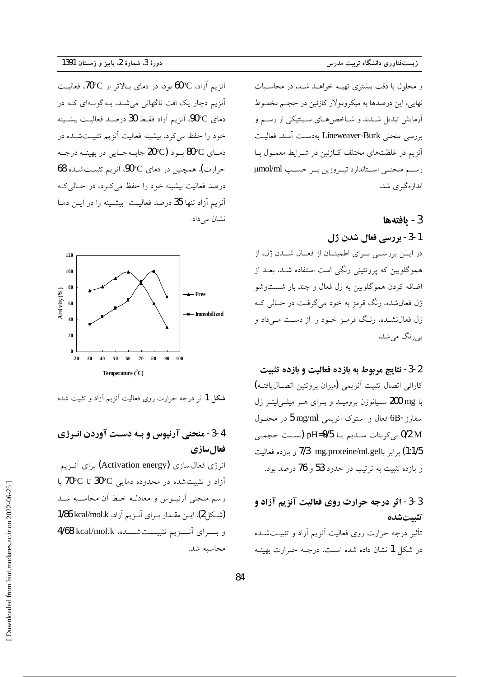و محلول با دقت بیشتری تھیـه خواهـد شـد. در محاسـبات نهایی، این درصدها به میکرومولار کازئین در حجـم مخلــوط ۔<br>آزمایش تبدیل شــدند و شــاخص هــای ســینتیکی از رســم و بررسي منحني Lineweaver-Burk بهدست آمـد. فعاليـت آنزیم در غلظتهای مختلف کـازئین در شـرایط معمـول بـا رسم منحنى استاندارد تيروزين بر حسب µmol/ml اندازهگیری شد.

#### 3- يافتهها

1-3- بررسی فعال شدن ژل در ایس بررسـی بـرای اطمینـان از فعـال شــدن ژل، از هموگلوبین که پروتئینی رنگی است استفاده شـد. بعـد از اضافه کردن هموگلوبین به ژل فعال و چند بار شستوشو ژل فعالشده، رنگ قرمز به خود می گرفت در حـالی کـه ژل فعال نشـده، رنـگ قرمـز خـود را از دسـت مـی داد و بے رنگ مے شد.

#### 2-3- نتايج مربوط به بازده فعاليت و بازده تثبيت

كارائي اتصال تثبيت أنزيمي (ميزان پروتئين اتصـال يافتـه) با 200 mg سيانوژن بروميـد و بـراي هـر ميلـيليتـر ژل سفارز-6B فعال و استوک آنزیمی 5 mg/ml در محلـول 0/2 M بي كربنات ســديم بــا pH=9/5 (نسـبت حجمــي 1:1/5) برابر باT/3 mg.proteine/ml.gel و بازده فعاليت و بازده تثبيت به ترتيب در حدود 53 و 76 درصد بود.

### 3-3- اثر درجه حرارت روي فعاليت آنزيم آزاد و تثستشده تأثیر درجه حرارت روی فعالیت آنزیم آزاد و تثبیتشده

در شکل 1 نشان داده شده است. درجـه حـرارت بهینـه

آنزیم آزاد، 60°C بود. در دمای بـالاتر از 70°C، فعالیـت آنزیم دچار یک افت ناگهانی می شد، بـهگونـهای کـه در دمای 00°C، آنزیم آزاد فقبط 30 درصد فعالیت بیشینه .<br>خود را حفظ میکرد. بیشینه فعالیت آنزیم تثبیـتشــده در دمـاي 80°C بـود (20°C جابـهجـايي در بهينــه درجــه حرارت). همچنین در دمای ©90°، آنزیم تثبیـتشــده 68 درصد فعالیت بیشینه خود را حفظ می کـرد، در حـالی کـه آنزیم آزاد تنها 35 درصد فعالیت بیشـینه را در ایــن دمــا نشان مے داد.



**شکل 1** اثر درجه حرارت روی فعالیت آنزیم آزاد و تثبیت شده

### 4-3- منحنی آرنیوس و بـه دسـت آوردن انـرژی فعال سازي

انرژی فعال سازی (Activation energy) برای آنــزیـم آزاد و تثبیت شده در محدوده دمایی C°30 تا 70°C با رسم منحنى أرنيــوس و معادلــه خــط أن محاســبه شــد (شكل 2). ايـن مقـدار بـراي آنـزيم آزاد، 1/86 kcal/mol.k و بسیرای آنسزیم تثبیست شسده، 4/68 kcal/mol.k محاسبه شد.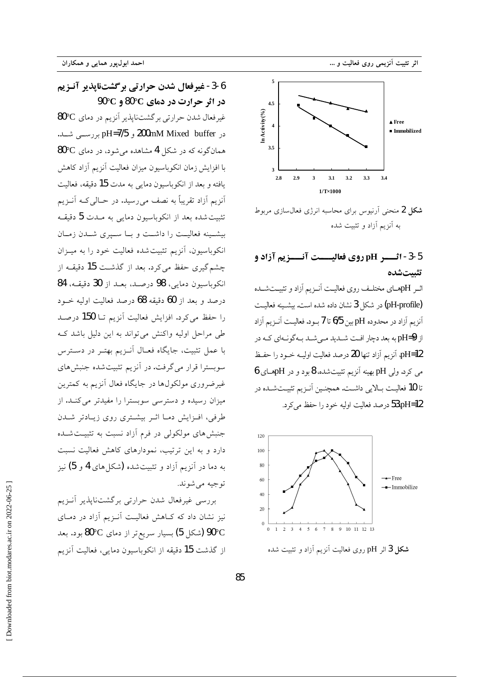

**شکل 2** منحنی آرنیوس برای محاسبه انرژی فعالسازی مربوط به آنزیم آزاد و تشت شده

### 5-3- اثـــر pH روي فعاليــــت آنـــزيم آزاد و تثىتشدە

اثیر pHهسای مختلیف روی فعالیت آنیزیم آزاد و تثبیت شیده (pH-profile) در شکل 3 نشان داده شده است. بیشـینه فعالیـت آنزیم آزاد در محدوده pH بین 6/5 تا 7 بود. فعالیت آنــزیم آزاد از pH=9 به بعد دچار افت شـدید مـی شـد بـه گونـهای کـه در pH=12 آنزیم آزاد تنها 20 درصد فعالیت اولیـه خــود را حفـظ می کرد. ولی pH بهینه آنزیم تثبیت شده، 8 بود و در pHهــای 6 تا 10 فعالیت بـالایی داشــت. همچنـین آنــزیم تثبیــتشــده در 53،pH=12 درصد فعالیت اولیه خود را حفظ می کرد.



**شکل 3** اثر pH روی فعالیت آنزیم آزاد و تثبیت شده

5-6- غیرفعال شدن حرارتی برگشتنایذیر آنـزیم  $90^{\circ}$ در اثر حرارت در دمای  $\rm C$ 80 و  $\rm C$ غیرفعال شدن حرارتی برگشتناپذیر آنزیم در دمای 80°C در 200mM Mixed buffer بررسے شد. همانگونه که در شکل 4 مشاهده می شود، در دمای 80°0 با افزایش زمان انکوباسیون میزان فعالیت آنزیم آزاد کاهش يافته و بعد از انكوباسيون دمايي به مدت 15 دقيقه، فعاليت أنزیم أزاد تقریباً به نصف میرسید. در حـالی کــه أنــزیم تثبیت شده بعد از انکوباسیون دمای<sub>ج،</sub> به مــدت **5** دقیقــه بیشـینه فعالیــت را داشــت و بــا ســیری شــدن زمــان انکوباسیون، آنزیم تثبیت شده فعالیت خود را به میــزان چشم گیری حفظ می کرد. بعد از گذشـت 15 دقیقــه از انكوباسيون دمايي، 98 درصد، بعد از 30 دقيقه، 84 درصد و بعد از 60 دقیقه 68 درصد فعالیت اولیه خــود را حفظ می کرد. افزایش فعالیت آنزیم تــا 150 درصــد طی مراحل اولیه واکنش می تواند به این دلیل باشد ک با عمل تثبیت، جایگاه فعـال آنــزیم بهتــر در دســترس سوبسترا قرار میگرفت. در آنزیم تثبیتشده جنبشهای غیرضروری مولکولها در جایگاه فعال أنزیم به کمترین میزان رسیده و دسترسی سوبسترا را مفیدتر میکند. از طرفی، افزایش دما اثـر بیشـتری روی زیـادتر شـدن جنبشهای مولکولی در فرم آزاد نسبت به تثبیـتشــده دارد و به این ترتیب، نمودارهای کاهش فعالیت نسبت به دما در آنزیم آزاد و تثبیتشده (شکلهای 4 و 5) نیز توجيه مي شوند.

بررسی غیرفعال شدن حرارتی برگشتناپذیر أنـزیم .<br>نیز نشان داد که کـاهش فعالیـت اَنــزیـم اَزاد در دمــای 90°C (شکل 5) بسیار سریع تر از دمای  $\rm ^{o}C$ 80 بود. بعد از گذشت 15 دقیقه از انکوباسیون دمایی، فعالیت آنزیم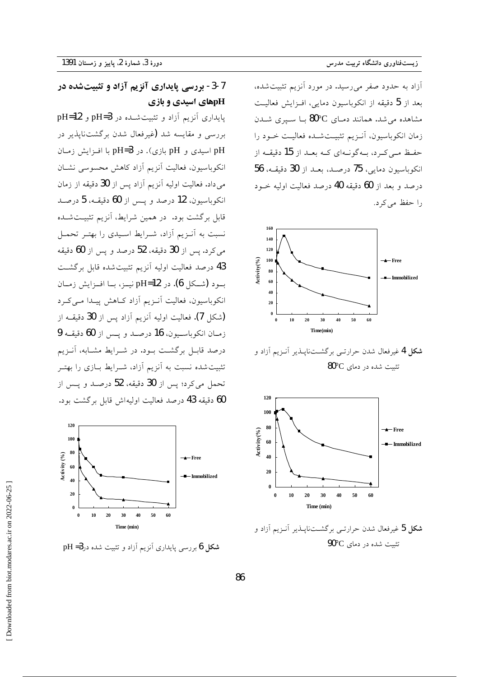آزاد به حدود صفر می رسید. در مورد آنزیم تثبیت شده، بعد از 5 دقیقه از انکوباسیون دمایی، افـزایش فعالیـت مشاهده می شد. همانند دمـای  $\rm{C}$ 80 بــا ســیری شــدن زمان انکوباسیون، آنـزیم تثبیـتشـده فعالیـت خـود را حفظ مے کے د، پےگونےای کے بعد از 15 دقیقے از انكوباسيون دمايي، 75 درصد، بعـد از 30 دقيقـه، 56 درصد و بعد از 60 دقیقه 40 درصد فعالیت اولیه خـود را حفظ می کرد.



**شکل 4** غیرفعال شدن حرارتے پر گشتناپلڈیر آنیز پم آزاد و  $80^{\circ}$ تثمت شده در دمای  $^{\circ}$ 



**شکل 5** غیرفعال شدن حرارت<sub>می</sub> برگشـتناپــذیر آنــزیم آزاد و تثبیت شده در دمای 90°C

### 7-3- بررسی پایداری آنزیم آزاد و تثبیتشده در pHهای اسیدی و بازی

پایداری آنزیم آزاد و تثبیت شده در pH=3 و pH=12 بررسی و مقایسه شد (غیرفعال شدن برگشتنایذیر در pH اسیدی و pH بازی). در pH=3 با افـزایش زمـان انکوباسیون، فعالیت آنزیم آزاد کاهش محسوسی نشـان میداد. فعالیت اولیه آنزیم آزاد پس از **30** دقیقه از زمان انكوباسيون، 12 درصد و يس از 60 دقيقـه، 5 درصـد .<br>قابل برگشت بود. در همین شرایط، آنزیم تثبیتشده نسبت به آنـزیم آزاد، شـرایط اسـیدی را بهتـر تحمـل می کرد. پس از 30 دقیقه، 52 درصد و پس از 60 دقیقه 43 درصد فعاليت اوليه آنزيم تثبيت شده قابل برگشت بود (شـكل 6). در pH=12 نيــز، بــا افــزايش زمــان انکوباسیون، فعالیت آنـزیم آزاد کـاهش پیـدا مـیکـرد (شکل 7). فعالیت اولیه آنزیم آزاد پس از 30 دقیقــه از زمـان انكوباسـيون، 16 درصـد و يـس از 60 دقيقــه 9 درصد قابـل برگشـت بــود. در شــرايط مشــابه، آنــزيـم تثبیت شده نسبت به آنزیم آزاد، شـرایط بــازی را بهتــر تحمل می کرد؛ پس از 30 دقیقه، 52 درصـد و پــس از 60 دقيقه 43 درصد فعاليت اوليهاش قابل برگشت بود.



**شکل 6** بررسی پایداری آنزیم آزاد و تثبیت شده در3= pH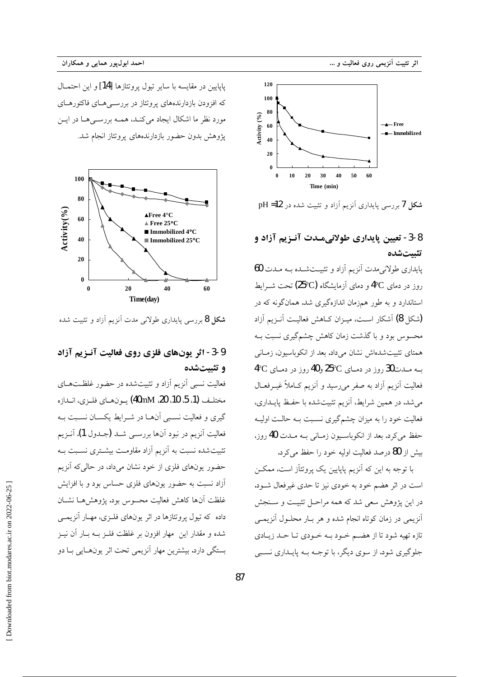

شکل 7 بررسی پایداری آنزیم آزاد و تثبیت شده در pH =12

### 8-3- تعیین پایداری طولانیمـدت آنـزیم آزاد و تثستشده

یاپداری طولانی مدت آنزیم آزاد و تثبیـتشـده بـه مـدت 60 روز در دمای 4°C و دمای آزمایشگاه (25°C) تحت شــرابط استاندارد و به طور همزمان اندازهگیری شد. همانگونه که در (شكل 8) آشكار است، ميـزان كــاهش فعاليــت آنــزيم آزاد محسوس بود و با گذشت زمان کاهش چشمگیری نسبت بـه همتای تثبیتشدهاش نشان میداد. بعد از انکوباسیون، زمـانی  $4^{\circ}$ ب ملدت 30 روز در دمای  $25^{\circ}$ و 40 روز در دمای فعالیت أنزیم أزاد به صفر میرسید و أنزیم کـاملاً غیــرفعــال می شد. در همین شرایط، آنزیم تثبیتشده با حفظ پایـداری، فعالیت خود را به میزان چشمگیری نسـبت بـه حالـت اولیـه حفظ مي كرد. بعد از انكوباسيون زمـاني بـه مـدت 40 روز، بیش از 80 درصد فعالیت اولیه خود را حفظ می کرد.

با توجه به این که آنزیم پاپایین یک پروتئاز است، ممکـن است در اثر هضم خود به خودی نیز تا حدی غیرفعال شـود. در این پژوهش سعی شد که همه مراحل تثبیت و سنجش آنزیمی در زمان کوتاه انجام شده و هر بار محلول آنزیمـی تازه تهیه شود تا از هضم خود بـه خـودي تـا حـد زيـادي جلوگیری شود. از سوی دیگر، با توجـه بــه پایــداری نســبی

ياپايين در مقايسه با ساير تيول پروتئازها [14] و اين احتمــال که افزودن بازدارندههای پروتئاز در بررسے هــای فاکتورهــای مورد نظر ما اشکال ایجاد می کنـد، همـه بررســی هـا در ایــن یژوهش بدون حضور بازدارندههای پروتئاز انجام شد.



**شکل 8** بررسی پایداری طولانی مدت آنزیم آزاد و تثبیت شده

### 9-3- اثر يونهاي فلزي روى فعاليت آنـزيم آزاد و تثبتشده

فعالیت نسبی آنزیم آزاد و تثبیتشده در حضور غلظتهای مختلـف (1، 5، 10، 20، 40mM) يــونهــاي فلــزي، انــدازه گیری و فعالیت نسببی آنهـا در شـرایط یکسـان نسـبت بـه فعاليت أنزيم در نبود أنها بررسـي شــد (جــدول 1). أنــزيم تثبیت شده نسبت به آنزیم آزاد مقاومت بیشــتری نســبت بــه حضور یونهای فلزی از خود نشان میداد، در حالی که آنزیم آزاد نسبت به حضور یونهای فلزی حساس بود و با افزایش غلظت آنها كاهش فعاليت محسوس بود. يژوهشهما نشبان داده که تیول پروتئازها در اثر یونهای فلـزی، مهـار آنزیمــی شده و مقدار این ً مهار افزون بر غلظت فلــز بــه بــار آن نیــز بستگی دارد. بیشترین مهار آنزیمی تحت اثر یونهـایی بـا دو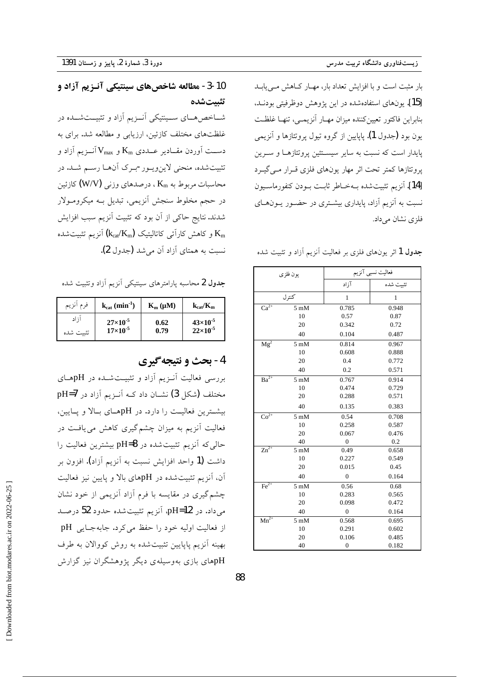بار مثبت است و با افزایش تعداد بار، مهـار کـاهش مـی یابـد [15]. يونهاي استفادهشده در اين پژوهش دوظرفيتي بودنـد، بنابراین فاکتور تعیینکننده میزان مهـار آنزیمـی، تنهـا غلظـت یون بود (جدول 1). پایایین از گروه تیول پروتئازها و آنزیمی پایدار است که نسبت به سایر سیستئین پروتئازهـا و سـرین پروتئازها کمتر تحت اثر مهار یونهای فلزی قـرار مـیگیـرد [14]. آنزيم تثبيت شده بهخـاطر ثابـت بـودن كنفورماسـيون نسبت به آنزیم آزاد، پایداری بیشتری در حضـور پـونهـای فلزي نشان مي داد.

جدول 1 اثر یونهای فلزی بر فعالیت آنزیم آزاد و تثبیت شده

| يون فلزى                      |                | فعالیت نسبی آنزیم |              |
|-------------------------------|----------------|-------------------|--------------|
|                               |                | آزاد              | تثبيت شده    |
|                               | كنترل          | $\mathbf{1}$      | $\mathbf{1}$ |
| $Ca^{2+}$                     | $5 \text{ mM}$ | 0.785             | 0.948        |
|                               | 10             | 0.57              | 0.87         |
|                               | 20             | 0.342             | 0.72         |
|                               | 40             | 0.104             | 0.487        |
| Mg <sup>2</sup>               | $5 \text{ mM}$ | 0.814             | 0.967        |
|                               | 10             | 0.608             | 0.888        |
|                               | 20             | 0.4               | 0.772        |
|                               | 40             | 0.2               | 0.571        |
| $Ba^{2+}$                     | $5 \text{ mM}$ | 0.767             | 0.914        |
|                               | 10             | 0.474             | 0.729        |
|                               | 20             | 0.288             | 0.571        |
|                               | 40             | 0.135             | 0.383        |
| $\overline{{\rm Co}^{2+}}$    | $5 \text{ mM}$ | 0.54              | 0.708        |
|                               | 10             | 0.258             | 0.587        |
|                               | 20             | 0.067             | 0.476        |
|                               | 40             | $\mathbf{0}$      | 0.2          |
| $\overline{\text{Zn}^{2+}}$   | $5 \text{ mM}$ | 0.49              | 0.658        |
|                               | 10             | 0.227             | 0.549        |
|                               | 20             | 0.015             | 0.45         |
|                               | 40             | $\mathbf{0}$      | 0.164        |
| $Fe2+$                        | $5 \text{ mM}$ | 0.56              | 0.68         |
|                               | 10             | 0.283             | 0.565        |
|                               | 20             | 0.098             | 0.472        |
|                               | 40             | $\overline{0}$    | 0.164        |
| $\overline{\mathrm{Mn}}^{2+}$ | $5 \text{ mM}$ | 0.568             | 0.695        |
|                               | 10             | 0.291             | 0.602        |
|                               | 20             | 0.106             | 0.485        |
|                               | 40             | $\Omega$          | 0.182        |

### 10-3- مطالعه شاخصهای سینتیکی آنـزیم آزاد و تثىتشدە

شــاخصهــای ســینتیکی آنــزیم آزاد و تثبیــتشــده در غلظتهای مختلف کازئین، ارزیابی و مطالعه شد. برای به دســت آوردن مقــادير عــددي K<sub>m و</sub> X آنــزيم آزاد و تثبیتشده، منحنی لاین ویور-بـرک أنهـا رسـم شـد. در محاسبات مربوط به Km ، درصدهای وزنی (W/V) كازئين در حجم مخلوط سنجش أنزيمي، تبديل بـه ميكرومـولار شدند. نتایج حاکی از آن بود که تثبیت آنزیم سبب افزایش و کاهش کارآئی کاتالیتیک  $\rm\left(k_{cat}/K_{m}\right)$  آنزیم تثبیتشده  $\rm\,K_{m}$ نسبت به همتای آزاد آن می شد (جدول 2).

جدول 2 محاسبه پارامترهای سینتیکی آنزیم آزاد وتثبیت شده

| فر م<br>انزيم | $k_{cat}$ (min <sup>-1</sup> ) | $K_m(\mu M)$ | $k_{cat}/K_m$     |
|---------------|--------------------------------|--------------|-------------------|
| ا ; اد        | $27\times10^{-5}$              | 0.62         | $43\times10^{-5}$ |
| تثست شده      | $17\times10^{-5}$              | 0.79         | $22\times10^{-5}$ |

### 4- بحث و نتيجه گيري

بررسی فعالیت آنـزیم آزاد و تثبیـتشـده در pHهـای مختلف (شکل 3) نشــان داد کــه آنــزيم آزاد در pH=7 بیشترین فعالیت را دارد. در pHهـای بـالا و پـایین، فعالیت آنزیم به میزان چشم گیری کاهش می یافت در حالي كه آنزيم تثبيت شده در pH=8 بيشترين فعاليت را داشت (1 واحد افزایش نسبت به آنزیم آزاد). افزون بر آن، آنزیم تثبیتشده در pHهای بالا و پایین نیز فعالیت چشم گیری در مقایسه با فرم آزاد آنزیمی از خود نشان میداد. در pH=**12**، آنزیم تثبیت شده حدود 52 درصـد از فعالیت اولیه خود را حفظ می کرد. جابهجــایی pH بهینه آنزیم پاپایین تثبیتشده به روش کووالان به طرف pHهای بازی بهوسیلهی دیگر پژوهشگران نیز گزارش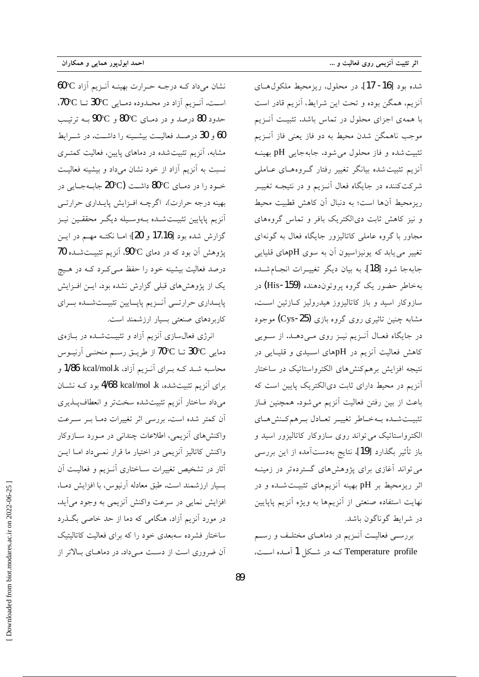نشان می داد کـه درجـه حـرارت بهینـه آنـزیم آزاد 60°C  $70^{\circ}$ C است. آنـزیم آزاد در محـدوده دمـایی  $^{\circ}$ 30 تــا حدود 80 درصد و در دمـاي 80°C و 90°C بـه ترتيـــ 60 و 30 درصـد فعالیــت بیشــینه را داشــت. در شــرایط مشابه، آنزیم تثبیتشده در دماهای پایین، فعالیت کمتـری نسبت به آنزیم آزاد از خود نشان میداد و بیشینه فعالیت خود را در دمـاي 80°30 داشــت (20°20 جابـهجـايي در بهینه درجه حرارت). اگرچـه افـزایش پایـداري حرارتـي ۔<br>آنزیم پاپایین تثبیتشـده بــهوســیله دیگــر محققــین نیــز گزارش شده بود [17.16 و 20]؛ امــا نكتــه مهــم در ايــن یژوهش آن بود که در دمای 90°C، آنزیم تثبیتشده 70 درصد فعالیت بیشینه خود را حفظ مــی کــرد کــه در هــیج یک از پژوهش های قبلی گزارش نشده بود. ایـن افـزایش پایسداری حرارتسی آنسزیم پاپسایین تثبیستشسده بسرای کاربردهای صنعتی بسیار ارزشمند است.

انرژی فعال سازی آنزیم آزاد و تثبیت شده در بازهی دمايي  ${\rm 30^{\circ}C}$  تــا  ${\rm 70^{\circ}C}$  از طريــق رســم منحنــي آرنيــوس محاسبه شــد کــه بــراي آنــزيم آزاد، 1/86 kcal/mol.k و برای آنزیم تثبیتشده، A/68 kcal/mol .k بود کـه نشـان میداد ساختار آنزیم تثبیتشده سختتر و انعطاف پلذیری أن كمتر شده است. بررسي اثر تغييرات دمـا بــر ســرعت واکنشهای آنزیمی، اطلاعات چندانی در مـورد سـازوکار واكنش كاتاليز آنزيمي در اختيار ما قرار نمـىداد امـا ايـن آثار در تشخیص تغییرات سـاختاری آنـزیم و فعالیـت آن بسیار ارزشمند است. طبق معادله آرنیوس، با افزایش دمـا، افزايش نمايي در سرعت واكنش آنزيمي به وجود مي]يد. در مورد آنزیم آزاد، هنگامی که دما از حد خاصی بگـذرد ساختار فشرده سهبعدی خود را که برای فعالیت کاتالیتیک آن ضروری است از دست می داد. در دماهـای بـالاتر از

شده بود [16- 17]. در محلول، ريزمحيط ملكول هـاي آنزیم، همگن بوده و تحت این شرایط، آنزیم قادر است با همهی اجزای محلول در تماس باشد. تثبیت أنـزیم موجب ناهمگن شدن محیط به دو فاز یعنی فاز آنویم تثبيت شده و فاز محلول مي شود. جابه جايبي pH بهينـه اًنزیم تثبیت شده بیانگر تغییر رفتار گـروههـای عـامل<sub>ی</sub> شرکتکننده در جایگاه فعال آنـزیم و در نتیجـه تغییـر ریزمحیط آنها است؛ به دنبال آن کاهش قطبیت محیط و نیز کاهش ثابت دیالکتریک بافر و تماس گروههای مجاور با گروه عاملی کاتالیزور جایگاه فعال به گونهای تغییر می پابد که یونیزاسیون آن به سوی pHهای قلیایی جابهجا شود [18]. به بيان ديگر تغييـرات انجـامشـده بهخاطر حضور یک گروه پروتون(هنده (His-159) در سازوکار اسید و باز کاتالیزوز هیدرولیز کـازئین اسـت. مشابه چنین تاثیری روی گروه بازی (Cys-**25)** موجود در جایگاه فعـال آنـزیم نیـز روی مـیدهـد. از سـویی کاهش فعالیت آنزیم در pHهای اسپدی و قلیبایی در نتیجه افزایش برهم کنشهای الکترواستاتیک در ساختار آنزیم در محیط دارای ثابت دیالکتریک پایین است که باعث از بین رفتن فعالیت آنزیم می شود. همچنین فــاز تثبيت شده بهخاطر تغيير تعادل برهم كنش هاى الکترواستاتیک می تواند روی سازوکار کاتالیزور اسید و باز تأثير بگذارد [19]. نتايج بهدستآمده از اين بررسي می تواند آغازی برای پژوهشهای گسترده تر در زمینه اثر ریزمحیط بر pH بهینه آنزیمهای تثبیتشده و در نهایت استفاده صنعتی از آنزیمها به ویژه آنزیم پاپایین در شرايط گوناگون باشد.

بررســی فعالیــت اَنــزیم در دماهــای مختلــف و رســـم Temperature profile که در شکل 1 آمده است،

Downloaded from biot.modares.ac.ir on 2022-06-25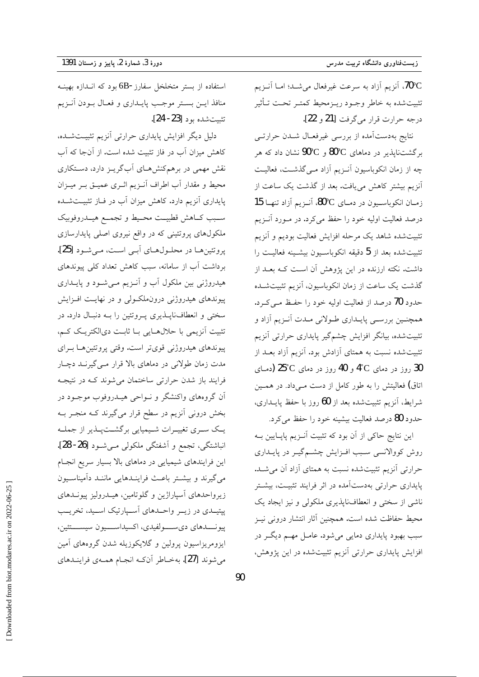70°C، آنزیم آزاد به سرعت غیرفعال میشـد؛ امـا آنــزیم تثبيت شده به خاطر وجـود ريـزمحيط كمتـر تحـت تـأثير درجه حرارت قرار مي گرفت [21 و 22].

نتایج بهدستآمده از بررسی غیرفعـال شـدن حرارتـی برگشتناپذیر در دماهای 80°C و 90°C نشان داد که هر چه از زمان انکوباسیون آنـزیم آزاد مـیگذشـت، فعالیـت ۔<br>آنزیم بیشتر کاهش می یافت. بعد از گذشت یک ساعت از زمان انكوباسيون در دماى 80°C، آنـزيم آزاد تنهـا 15 درصد فعالیت اولیه خود را حفظ میکرد. در مـورد آنــزیم تثبيت شده شاهد يک مرحله افزايش فعاليت بوديم و آنزيم تثبيت شده بعد از 5 دقيقه انكوباسـيون بيشـينه فعاليـت را داشت. نکته ارزنده در این پژوهش آن است کـه بعــد از گذشت یک ساعت از زمان انکوباسیون، آنزیم تثبیتشــده حدود 70 درصد از فعالیت اولیه خود را حفظ مـی کــرد. همچنـین بررسـی پایـداری طـولانی مـدت آنـزیم آزاد و تثبیتشده، بیانگر افزایش چشمگیر پایداری حرارتی آنزیم تثبیت شده نسبت به همتای آزادش بود. آنزیم آزاد بعـد از 30 روز در دمای <sup>4°</sup>C و 40 روز در دمای <sup>25°</sup>C (دمـای اتاق) فعالیتش را به طور کامل از دست مـیداد. در همـین شرايط، آنزيم تثبيت شده بعد از 60 روز با حفظ پايــداري، حدود 80 درصد فعالیت بیشینه خود را حفظ می کرد.

این نتایج حاکی از آن بود که تثبیت آنـزیم پاپـایین بــه روش کووالانسی سبب افـزایش چشـمگیـر در پایــداری حرارتی آنزیم تثبیتشده نسبت به همتای آزاد آن می شـد. پایداری حرارتی بهدستآمده در اثر فرایند تثبیت، بیشتر ناشی از سختی و انعطافناپذیری ملکولی و نیز ایجاد یک محيط حفاظت شده است. همچنين آثار انتشار دروني نيـز سبب بهبود پایداری دمایی می شود. عامـل مهـم دیگـر در افزایش پایداری حرارتی آنزیم تثبیتشده در این پژوهش،

استفاده از بستر متخلخل سفارز-6B بود که انـدازه بهينــه منافذ ايـن بسـتر موجـب پايــدارى و فعــال بــودن آنــزيم تثست شده بود [23- 24].

دلیل دیگر افزایش پایداری حرارتی آنزیم تثبیتشده، کاهش میزان آب در فاز تثبیت شده است. از آنجا که آب نقش مهمی در برهمکنشهای آبگریـز دارد، دسـتکاری محيط و مقدار أب اطراف أنـزيم اثـري عميــق بــر ميــزان پایداری آنزیم دارد. کاهش میزان آب در فـاز تثبیــتشــده سـبب كــاهش قطبيــت محــيط و تجمــع هيــدروفوبيك ملکولهای پروتئینی که در واقع نیروی اصلی پایدارسازی پروتئینها در محلولهای آبی است، میشود [25]. برداشت آب از سامانه، سبب کاهش تعداد کلی پیوندهای هیدروژنی بین ملکول آب و آنـزیم مـیشـود و پایــداری پیوندهای هیدروژنی درونملکولی و در نهایت افـزایش سختی و انعطاف ناپــذیری پــروتئین را بــه دنبــال دارد. در تثبیت آنزیمی با حلالهایی بـا ثابـت دیالکتریـک کـم، پیوندهای هیدروژنی قویتر است. وقتی پروتئین هـا بـرای مدت زمان طولانی در دماهای بالا قرار مـیگیرنـد دچـار فرایند باز شدن حرارتی ساختمان میشوند که در نتیجه آن گروههای واکنشگر و نــواحی هیــدروفوب موجــود در بخش درونی آنزیم در سطح قرار میگیرند کـه منجـر بـه یک سری تغییرات شیمیایی برگشتپذیر از جملـه انباشتگی، تجمع و اَشفتگی ملکولی مـیشـود [26- 28]. این فرایندهای شیمیایی در دماهای بالا بسیار سریع انجام میگیرند و بیشـتر باعـث فراینـدهایی ماننـد دآمیناسـیون زیرواحدهای آسپاراژین و گلوتامین، هیــدرولیز پیونــدهای پپتیــدی در زیــر واحــدهای اَســپارتیک اســید، تخریــب پيونــــدهاي ديســــولفيدي، اكسيداســــيون سيســــتئين، ایزومریزاسیون پرولین و گلایکوزیله شدن گروههای آمین مي شوند [27]. به خـاطر آنکـه انجـام همـهي فراينـدهاي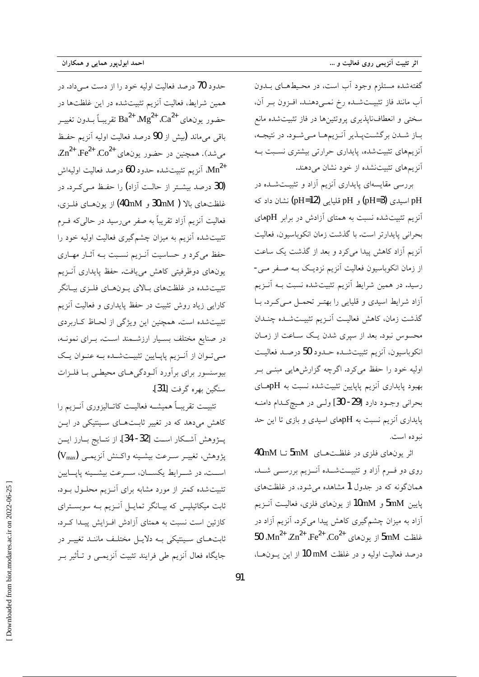احمد ابولپور همایی و همکاران

گفته شده مستلزم وجود آب است، در محـيطهـاى بــدون آب مانند فاز تثبيت شده رخ نمي دهند. افزون بر آن، سختی و انعطاف ناپذیری پروتئینها در فاز تثبیتشده مانع باز شدن برگشتپلدیر أنزیمها مهشود. در نتیجه، أنزیمهای تثبیتشده، پایداری حرارتی بیشتری نسـبت بـه أنزیمهای تثبیتنشده از خود نشان میدهند.

بررسی مقایسهای پایداری آنزیم آزاد و تثبیتشده در pH اسیدی (pH=**3)** و pH قلیایی (pH=**12)** نشان داد که آنزیم تثبیتشده نسبت به همتای آزادش در برابر pHهای بحراني پايدارتر است. با گذشت زمان انكوباسيون، فعاليت أنزيم أزاد كاهش پيدا مي كرد و بعد از گذشت يک ساعت از زمان انکوباسیون فعالیت آنزیم نزدیک بـه صـفر مـی-رسید. در همین شرایط آنزیم تثبیتشده نسبت بـه آنـزیم أزاد شرايط اسيدي و قليايي را بهتـر تحمـل مـيكـرد. بـا گذشت زمان، كاهش فعاليت أنـزيم تثبيـتشـده چنـدان محسوس نبود. بعد از سپری شدن یـک سـاعت از زمـان انكوباسيون، آنزيم تثبيتشـده حـدود 50 درصـد فعاليـت اولیه خود را حفظ میکرد. اگرچه گزارشهایی مبنـی بـر بهبود پایداری آنزیم پایایین تثبیتشده نسبت به pHهـای بحراني وجود دارد [29- 30] ولي در هيچ كـدام دامنـه پایداری آنزیم نسبت به pHهای اسیدی و بازی تا این حد نبو ده است.

اثر یونهای فلزی در غلظتهای 5mM تا 40mM روی دو فسرم آزاد و تثبیــتشــده آنــزیم بررســـی شـــد. همانگونه که در جدول 1 مشاهده میشود، در غلظتهای پايين 5mM و 10mM از يونهاي فلزي، فعاليت آنـزيم ۔<br>آزاد به میزان چشمگیری کاهش پیدا میکرد. آنزیم آزاد در 50  $\text{Mn}^{2+}$   $\text{Zn}^{2+}$   $\text{Fe}^{2+}$   $\text{Co}^{2+}$   $\text{Co}^{2+}$  و بونهای 5mM درصد فعاليت اوليه و در غلظت mM 10 از اين يــونهـا،

حدود 70 درصد فعالیت اولیه خود را از دست مــ داد. در همین شرایط، فعالیت آنزیم تثبیتشده در این غلظتها در حضور يونهاي  $\mathrm{Ca}^{2+}$   $\mathrm{Mg}^{2+}$   $\mathrm{Ca}^{2+}$  تقريبـاً بــدون تغييــر باقی می ماند (بیش از 90 درصد فعالیت اولیه آنزیم حفظ  $Zn^{2+}$  ، Fe<sup>2+</sup> ، Co<sup>2+</sup> ، همچنین در حضور یونهای  $Zn^{2+}$  ، Fe<sup>2+</sup> ، Co<sup>2+</sup> آنزیم تثبیتشده حدود **60** درصد فعالیت اولیهاش Mn<sup>2+</sup> (30 درصد بیشــتر از حالــت آزاد) را حفـظ مــی کــرد. در غلظتهای بالا ( 30mM و 40mM) از یونهای فلـزی، فعالیت آنزیم آزاد تقریباً به صفر میرسید در حال<sub>ی</sub>که فــرم .<br>تثبیت شده آنزیم به میزان چشمگیری فعالیت اولیه خود را .<br>حفظ می کرد و حساسیت آنــزیم نسـبت بــه آثــار مهــاری یونهای دوظرفیتی کاهش می یافت. حفظ پایداری آنـزیم تثبیتشده در غلظتهای بالای پونهای فلـزی بیـانگر کارایی زیاد روش تثبیت در حفظ پایداری و فعالیت آنزیم تثبیتشده است. همچنین این ویژگی از لحـاظ کـاربردی در صنایع مختلف بسـیار ارزشــمند اسـت. بــرای نمونــه، مـیتوان از آنـزیم پاپـایین تثبیـتشـده بـه عنـوان یـک بیوسنسور برای برآورد آلـودگیهـای محیطـی بـا فلــزات سنگين بهره گرفت [31].

تثبيت تقريبـاً هميشــه فعاليــت كاتــاليزوري آنــزيم را کاهش میدهد که در تغییر ثابـتهـای سـینتیکی در ایــن يـــژوهش آشــكار اســت [32- 34]. از نتــايج بــارز ايـــن يژوهش، تغييــر ســرعت بيشــينه واكــنش أنزيمــي (Vmax) اســت. در شـــرايط يكســـان، ســـرعت بيشـــينه پايـــايين تثبیت شده کمتر از مورد مشابه برای آنـزیم محلـول بـود. ثابت میکائیلیس که بیـانگر تمایـل آنـزیم بـه سوبسـترای کازئین است نسبت به همتای آزادش افـزایش پیـدا کـرد. ثابتهای سینتیکی بـه دلایـل مختلـف ماننـد تغییـر در جایگاه فعال آنزیم طی فرایند تثبیت آنزیمــی و تــأثیر بــر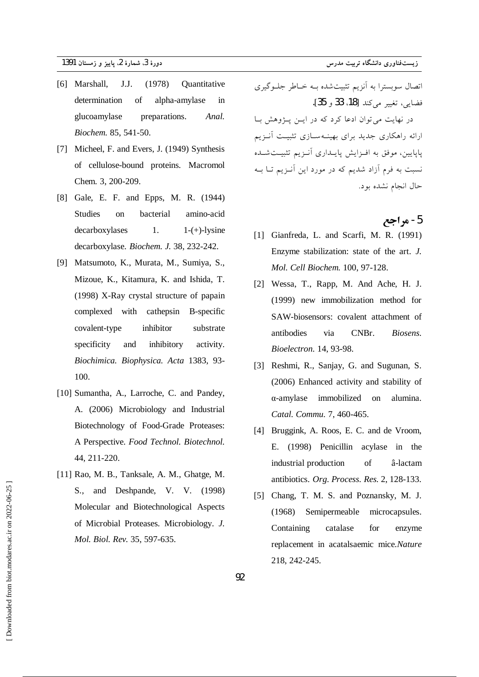- [6] Marshall, J.J.  $(1978)$ Quantitative determination of alpha-amylase in glucoamylase preparations. Anal. Biochem. 85, 541-50.
- [7] Micheel, F. and Evers, J. (1949) Synthesis of cellulose-bound proteins. Macromol Chem. 3, 200-209.
- [8] Gale, E. F. and Epps, M. R. (1944) Studies on bacterial amino-acid decarboxylases  $1<sub>1</sub>$  $1-(+)$ -lysine decarboxylase. Biochem. J. 38, 232-242.
- [9] Matsumoto, K., Murata, M., Sumiya, S., Mizoue, K., Kitamura, K. and Ishida, T. (1998) X-Ray crystal structure of papain complexed with cathepsin B-specific covalent-type inhibitor substrate and specificity inhibitory activity. Biochimica. Biophysica. Acta 1383, 93-100.
- [10] Sumantha, A., Larroche, C. and Pandey, A. (2006) Microbiology and Industrial Biotechnology of Food-Grade Proteases: A Perspective. Food Technol. Biotechnol. 44, 211-220.
- [11] Rao, M. B., Tanksale, A. M., Ghatge, M. S., and Deshpande, V. V. (1998) Molecular and Biotechnological Aspects of Microbial Proteases. Microbiology. J. Mol. Biol. Rev. 35, 597-635.

اتصال سوبسترا به آنزیم تثبیتشده بـه خـاطر جلـوگیری فضايي، تغيير مي كند [18، 33 و 35]. در نهایت می توان ادعا کرد که در ایـن پـژوهش بـا ارائه راهکاری جدید برای بهینـهسـازی تثبیـت آنــزیم پاپایین، موفق به افـزایش پایـداری آنـزیم تثبیـتشـده نسبت به فرم آزاد شدیم که در مورد این آنـزیم تـا بــه حال انجام نشده بود.

### 5- مراجع

- [1] Gianfreda, L. and Scarfi, M. R. (1991) Enzyme stabilization: state of the art. J. Mol. Cell Biochem. 100, 97-128.
- [2] Wessa, T., Rapp, M. And Ache, H. J. (1999) new immobilization method for SAW-biosensors: covalent attachment of antibodies CNBr. via Biosens. Bioelectron. 14, 93-98.
- [3] Reshmi, R., Sanjay, G. and Sugunan, S. (2006) Enhanced activity and stability of  $\alpha$ -amylase immobilized on alumina. Catal. Commu. 7, 460-465.
- [4] Bruggink, A. Roos, E. C. and de Vroom, E. (1998) Penicillin acylase in the industrial production  $\sigma$ f â-lactam antibiotics. Org. Process. Res. 2, 128-133.
- [5] Chang, T. M. S. and Poznansky, M. J.  $(1968)$ Semipermeable microcapsules. Containing catalase for enzyme replacement in acatalsaemic mice.Nature 218, 242-245.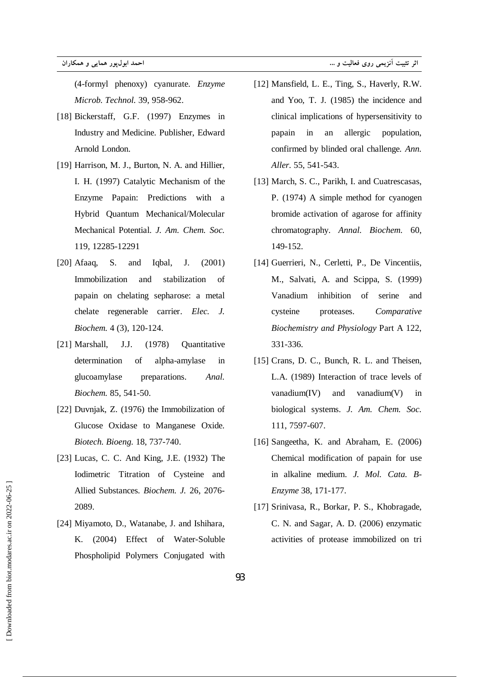$(4-formyl$  phenoxy) cyanurate. *Enzyme* Microb. Technol. 39, 958-962.

- [18] Bickerstaff, G.F. (1997) Enzymes in Industry and Medicine. Publisher, Edward Arnold London.
- [19] Harrison, M. J., Burton, N. A. and Hillier, I. H. (1997) Catalytic Mechanism of the Enzyme Papain: Predictions with a Hybrid Quantum Mechanical/Molecular Mechanical Potential. J. Am. Chem. Soc. 119, 12285-12291
- [ $20$ ] Afaaq, S.  $J<sub>1</sub>$  $(2001)$ and Iqbal, Immobilization and stabilization  $\sigma$ f papain on chelating sepharose: a metal chelate regenerable carrier. Elec. J. Biochem. 4 (3), 120-124.
- J.J. [21] Marshall,  $(1978)$ Ouantitative of determination alpha-amylase in glucoamylase preparations. Anal. Biochem. 85, 541-50.
- [22] Duvnjak, Z. (1976) the Immobilization of Glucose Oxidase to Manganese Oxide. Biotech. Bioeng. 18, 737-740.
- [23] Lucas, C. C. And King, J.E. (1932) The Iodimetric Titration of Cysteine and Allied Substances. Biochem. J. 26, 2076-2089.
- [24] Miyamoto, D., Watanabe, J. and Ishihara, K. (2004) Effect of Water-Soluble Phospholipid Polymers Conjugated with
- [12] Mansfield, L. E., Ting, S., Haverly, R.W. and Yoo, T. J. (1985) the incidence and clinical implications of hypersensitivity to papain in an allergic population, confirmed by blinded oral challenge. Ann. Aller. 55, 541-543.
- [13] March, S. C., Parikh, I. and Cuatrescasas, P. (1974) A simple method for cyanogen bromide activation of agarose for affinity chromatography. Annal. Biochem. 60, 149-152.
- [14] Guerrieri, N., Cerletti, P., De Vincentiis, M., Salvati, A. and Scippa, S. (1999) Vanadium inhibition of serine and cysteine proteases. Comparative Biochemistry and Physiology Part A 122, 331-336.
- [15] Crans, D. C., Bunch, R. L. and Theisen, L.A. (1989) Interaction of trace levels of and vanadium(V)  $vanadium(IV)$ in biological systems. J. Am. Chem. Soc. 111, 7597-607.
- [16] Sangeetha, K. and Abraham, E. (2006) Chemical modification of papain for use in alkaline medium. J. Mol. Cata. B-Enzyme 38, 171-177.
- [17] Srinivasa, R., Borkar, P. S., Khobragade, C. N. and Sagar, A. D. (2006) enzymatic activities of protease immobilized on tri